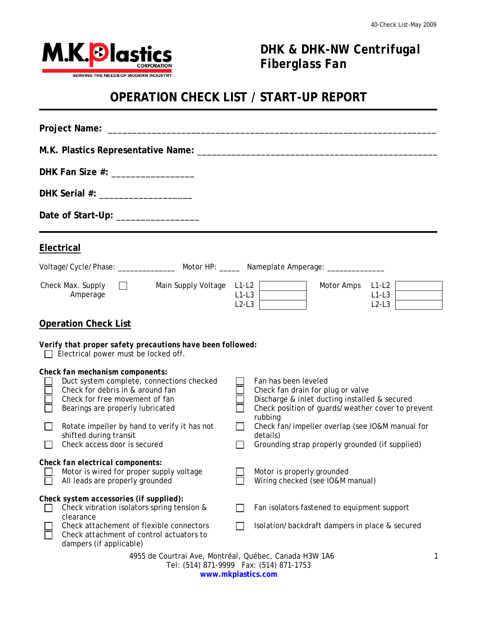

## *DHK & DHK-NW Centrifugal Fiberglass Fan*

## **OPERATION CHECK LIST / START-UP REPORT**

| DHK Fan Size #: ___________________                                                                                                                                                    |                                                                                      |                                      |                                                                                                                                                                            |                               |  |  |  |
|----------------------------------------------------------------------------------------------------------------------------------------------------------------------------------------|--------------------------------------------------------------------------------------|--------------------------------------|----------------------------------------------------------------------------------------------------------------------------------------------------------------------------|-------------------------------|--|--|--|
| DHK Serial #: ____________________                                                                                                                                                     |                                                                                      |                                      |                                                                                                                                                                            |                               |  |  |  |
|                                                                                                                                                                                        | Date of Start-Up: ________________                                                   |                                      |                                                                                                                                                                            |                               |  |  |  |
| Electrical                                                                                                                                                                             |                                                                                      |                                      |                                                                                                                                                                            |                               |  |  |  |
|                                                                                                                                                                                        |                                                                                      |                                      | Voltage/Cycle/Phase: __________________ Motor HP: ______ Nameplate Amperage: ___________                                                                                   |                               |  |  |  |
| Check Max. Supply $\Box$<br>Amperage                                                                                                                                                   |                                                                                      | Main Supply Voltage L1-L2<br>$L2-L3$ | Motor Amps<br>$L1-L3$                                                                                                                                                      | $L1-L2$<br>$L1-L3$<br>$L2-L3$ |  |  |  |
| <b>Operation Check List</b>                                                                                                                                                            |                                                                                      |                                      |                                                                                                                                                                            |                               |  |  |  |
| Verify that proper safety precautions have been followed:<br>Electrical power must be locked off.                                                                                      |                                                                                      |                                      |                                                                                                                                                                            |                               |  |  |  |
| Check fan mechanism components:<br>Duct system complete, connections checked<br>Check for debris in & around fan<br>Check for free movement of fan<br>Bearings are properly lubricated |                                                                                      |                                      | Fan has been leveled<br>Check fan drain for plug or valve<br>Discharge & inlet ducting installed & secured<br>Check position of guards/weather cover to prevent<br>rubbing |                               |  |  |  |
| Rotate impeller by hand to verify it has not<br>shifted during transit<br>Check access door is secured                                                                                 |                                                                                      | $\Box$<br>$\vert \ \ \vert$          | Check fan/impeller overlap (see IO&M manual for<br>details)<br>Grounding strap properly grounded (if supplied)                                                             |                               |  |  |  |
| Check fan electrical components:<br>Motor is wired for proper supply voltage<br>All leads are properly grounded                                                                        |                                                                                      |                                      | Motor is properly grounded<br>Wiring checked (see IO&M manual)                                                                                                             |                               |  |  |  |
| Check system accessories (if supplied):<br>clearance                                                                                                                                   | Check vibration isolators spring tension &                                           |                                      | Fan isolators fastened to equipment support                                                                                                                                |                               |  |  |  |
| dampers (if applicable)                                                                                                                                                                | Check attachement of flexible connectors<br>Check attachment of control actuators to |                                      | Isolation/backdraft dampers in place & secured                                                                                                                             |                               |  |  |  |
| 4955 de Courtrai Ave, Montréal, Québec, Canada H3W 1A6<br>1<br>Tel: (514) 871-9999  Fax: (514) 871-1753                                                                                |                                                                                      |                                      |                                                                                                                                                                            |                               |  |  |  |